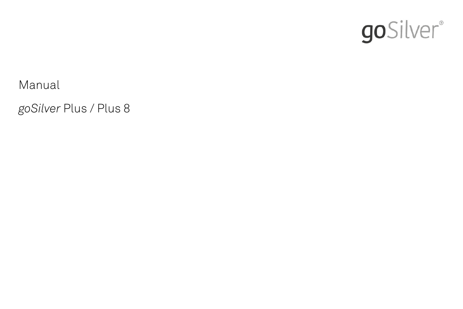

Manual

*goSilver* Plus / Plus 8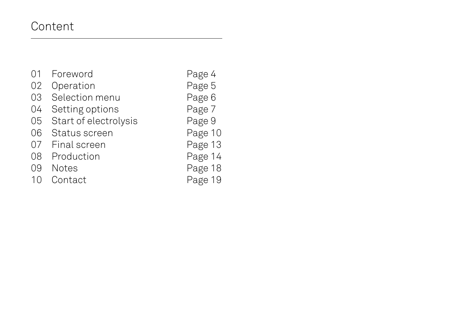# Content

01 Foreword Page 4 02 Operation<br>03 Selection menu Page 6 Selection menu 04 Setting options Page 7<br>05 Start of electrolysis Page 9 Start of electrolysis 06 Status screen Page 10 07 Final screen Page 13 08 Production Page 14 09 Notes Page 18 10 Contact Page 19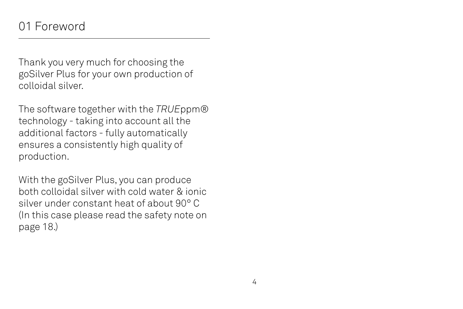# 01 Foreword

Thank you very much for choosing the goSilver Plus for your own production of colloidal silver.

The software together with the *TRUE*ppm® technology - taking into account all the additional factors - fully automatically ensures a consistently high quality of production.

With the goSilver Plus, you can produce both colloidal silver with cold water & ionic silver under constant heat of about 90° C (In this case please read the safety note on page 18.)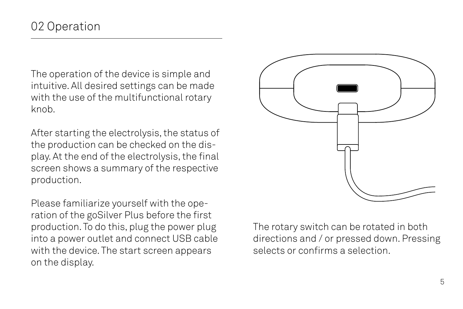The operation of the device is simple and intuitive. All desired settings can be made with the use of the multifunctional rotary knob.

After starting the electrolysis, the status of the production can be checked on the display. At the end of the electrolysis, the final screen shows a summary of the respective production.

Please familiarize yourself with the operation of the goSilver Plus before the first production. To do this, plug the power plug into a power outlet and connect USB cable with the device. The start screen appears on the display.



The rotary switch can be rotated in both directions and / or pressed down. Pressing selects or confirms a selection.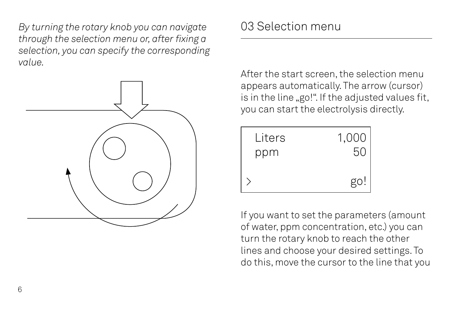*By turning the rotary knob you can navigate through the selection menu or, after fixing a selection, you can specify the corresponding value.*



After the start screen, the selection menu appears automatically. The arrow (cursor) is in the line "go!". If the adjusted values fit, you can start the electrolysis directly.

| Liters | 1,000 |
|--------|-------|
| ppm    | 50    |
|        | go!   |

If you want to set the parameters (amount of water, ppm concentration, etc.) you can turn the rotary knob to reach the other lines and choose your desired settings. To do this, move the cursor to the line that you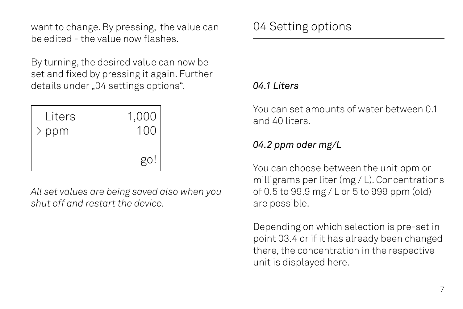want to change. By pressing, the value can be edited - the value now flashes.

By turning, the desired value can now be set and fixed by pressing it again. Further details under "04 settings options".

| Liters | 1,000 |
|--------|-------|
| > ppm  | 100   |
|        | go!   |

*All set values are being saved also when you shut off and restart the device.*

## *04.1 Liters*

You can set amounts of water between 0.1 and 40 liters.

## *04.2 ppm oder mg/L*

You can choose between the unit ppm or milligrams per liter (mg / L). Concentrations of 0.5 to 99.9 mg / L or 5 to 999 ppm (old) are possible.

Depending on which selection is pre-set in point 03.4 or if it has already been changed there, the concentration in the respective unit is displayed here.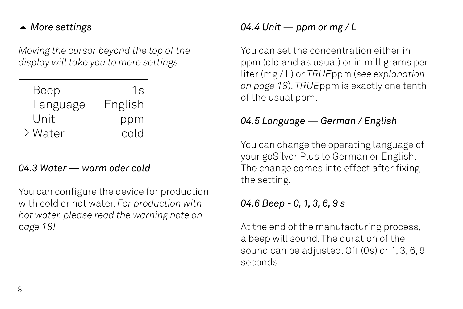## 5 *More settings*

*Moving the cursor beyond the top of the display will take you to more settings.*

| Beep     | 1s      |
|----------|---------|
| Language | English |
| Unit     | ppm     |
| > Water  | cold    |

#### *04.3 Water — warm oder cold*

You can configure the device for production with cold or hot water. *For production with hot water, please read the warning note on page 18!*

# *04.4 Unit — ppm or mg / L*

You can set the concentration either in ppm (old and as usual) or in milligrams per liter (mg / L) or *TRUE*ppm (*see explanation on page 18*). *TRUE*ppm is exactly one tenth of the usual ppm.

#### *04.5 Language — German / English*

You can change the operating language of your goSilver Plus to German or English. The change comes into effect after fixing the setting.

## *04.6 Beep - 0, 1, 3, 6, 9 s*

At the end of the manufacturing process, a beep will sound. The duration of the sound can be adjusted. Off (0s) or 1, 3, 6, 9 seconds.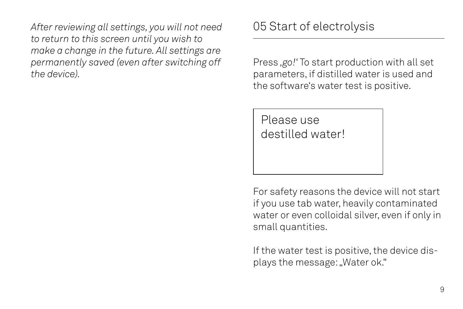*After reviewing all settings, you will not need to return to this screen until you wish to make a change in the future. All settings are permanently saved (even after switching off the device).*

05 Start of electrolysis

Press *'go!'* To start production with all set parameters, if distilled water is used and the software's water test is positive.

Please use destilled water!

For safety reasons the device will not start if you use tab water, heavily contaminated water or even colloidal silver, even if only in small quantities.

If the water test is positive, the device displays the message: "Water ok."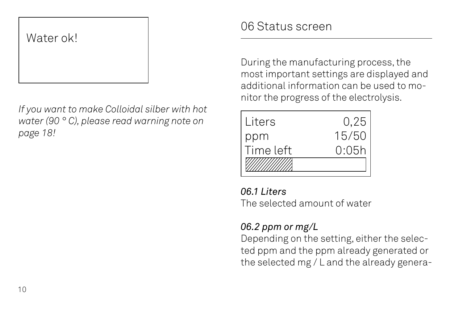# Water ok!

*If you want to make Colloidal silber with hot water (90 ° C), please read warning note on page 18!*

# 06 Status screen

During the manufacturing process, the most important settings are displayed and additional information can be used to monitor the progress of the electrolysis.

| Liters    | 0,25  |
|-----------|-------|
| ppm       | 15/50 |
| Time left | 0:05h |
|           |       |

## *06.1 Liters*

The selected amount of water

# *06.2 ppm or mg/L*

Depending on the setting, either the selected ppm and the ppm already generated or the selected mg / L and the already genera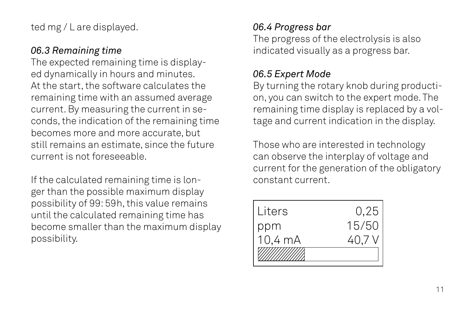ted mg / L are displayed.

#### *06.3 Remaining time*

The expected remaining time is displayed dynamically in hours and minutes. At the start, the software calculates the remaining time with an assumed average current. By measuring the current in seconds, the indication of the remaining time becomes more and more accurate, but still remains an estimate, since the future current is not foreseeable.

If the calculated remaining time is longer than the possible maximum display possibility of 99: 59h, this value remains until the calculated remaining time has become smaller than the maximum display possibility.

#### *06.4 Progress bar*

The progress of the electrolysis is also indicated visually as a progress bar.

#### *06.5 Expert Mode*

By turning the rotary knob during production, you can switch to the expert mode. The remaining time display is replaced by a voltage and current indication in the display.

Those who are interested in technology can observe the interplay of voltage and current for the generation of the obligatory constant current.

| Liters  | 0,25   |
|---------|--------|
| ppm     | 15/50  |
| 10,4 mA | 40.7 V |
|         |        |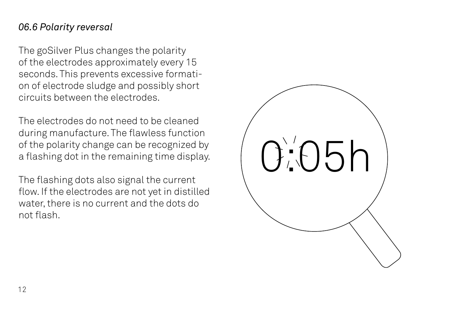#### *06.6 Polarity reversal*

The goSilver Plus changes the polarity of the electrodes approximately every 15 seconds. This prevents excessive formation of electrode sludge and possibly short circuits between the electrodes.

The electrodes do not need to be cleaned during manufacture. The flawless function of the polarity change can be recognized by a flashing dot in the remaining time display.

The flashing dots also signal the current flow. If the electrodes are not yet in distilled water, there is no current and the dots do not flash.

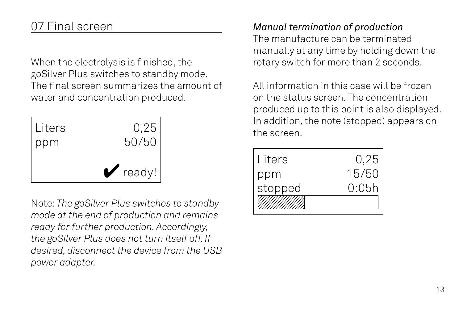# 07 Final screen

When the electrolysis is finished, the goSilver Plus switches to standby mode. The final screen summarizes the amount of water and concentration produced.



Note: *The goSilver Plus switches to standby mode at the end of production and remains ready for further production. Accordingly, the goSilver Plus does not turn itself off. If desired, disconnect the device from the USB power adapter.*

# *Manual termination of production*

The manufacture can be terminated manually at any time by holding down the rotary switch for more than 2 seconds.

All information in this case will be frozen on the status screen. The concentration produced up to this point is also displayed. In addition, the note (stopped) appears on

| Liters  | 0,25  |
|---------|-------|
| ppm     | 15/50 |
| stopped | 0:05h |
|         |       |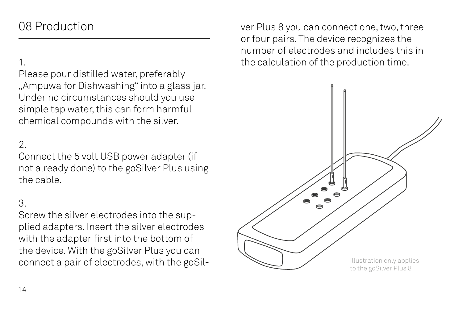# 08 Production

### 1.

Please pour distilled water, preferably "Ampuwa for Dishwashing" into a glass jar. Under no circumstances should you use simple tap water, this can form harmful chemical compounds with the silver.

## 2.

Connect the 5 volt USB power adapter (if not already done) to the goSilver Plus using the cable.

#### 3.

Screw the silver electrodes into the supplied adapters. Insert the silver electrodes with the adapter first into the bottom of the device. With the goSilver Plus you can connect a pair of electrodes, with the goSilver Plus 8 you can connect one, two, three or four pairs. The device recognizes the number of electrodes and includes this in the calculation of the production time.

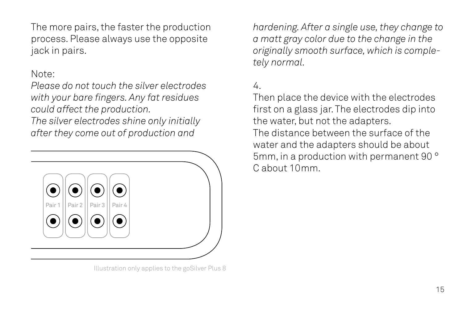The more pairs, the faster the production process. Please always use the opposite jack in pairs.

#### Note:

*Please do not touch the silver electrodes with your bare fingers. Any fat residues could affect the production.*

*The silver electrodes shine only initially after they come out of production and* 



Illustration only applies to the goSilver Plus 8

*hardening. After a single use, they change to a matt gray color due to the change in the originally smooth surface, which is completely normal.* 

# 4.

Then place the device with the electrodes first on a glass jar. The electrodes dip into the water, but not the adapters.

The distance between the surface of the water and the adapters should be about 5mm, in a production with permanent 90 ° C about 10mm.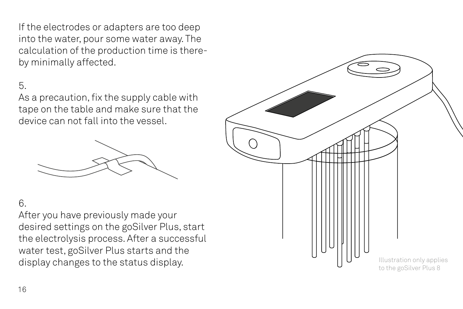If the electrodes or adapters are too deep into the water, pour some water away. The calculation of the production time is thereby minimally affected.

#### 5.

As a precaution, fix the supply cable with tape on the table and make sure that the device can not fall into the vessel.



#### 6.

After you have previously made your desired settings on the goSilver Plus, start the electrolysis process. After a successful water test, goSilver Plus starts and the

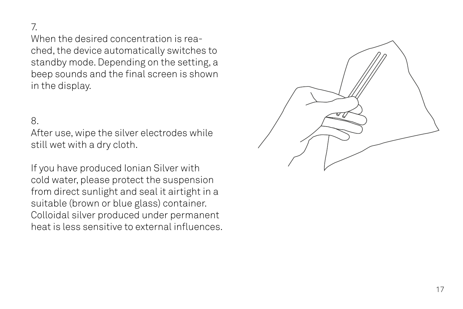#### 7.

When the desired concentration is rea ched, the device automatically switches to standby mode. Depending on the setting, a beep sounds and the final screen is shown in the display.

#### 8.

After use, wipe the silver electrodes while still wet with a dry cloth.

If you have produced Ionian Silver with cold water, please protect the suspension from direct sunlight and seal it airtight in a suitable (brown or blue glass) container. Colloidal silver produced under permanent heat is less sensitive to external influences.

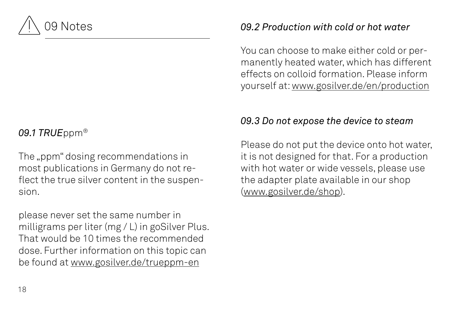

# *09.1 TRUE*ppm®

The "ppm" dosing recommendations in most publications in Germany do not reflect the true silver content in the suspension.

please never set the same number in milligrams per liter (mg / L) in goSilver Plus. That would be 10 times the recommended dose. Further information on this topic can be found at www.gosilver.de/trueppm-en

## *09.2 Production with cold or hot water*

You can choose to make either cold or permanently heated water, which has different effects on colloid formation. Please inform yourself at: www.gosilver.de/en/production

# *09.3 Do not expose the device to steam*

Please do not put the device onto hot water, it is not designed for that. For a production with hot water or wide vessels, please use the adapter plate available in our shop (www.gosilver.de/shop).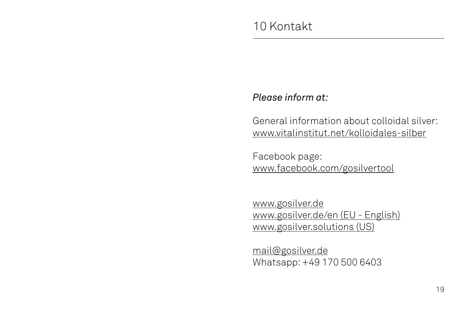#### *Please inform at:*

General information about colloidal silver: www.vitalinstitut.net/kolloidales-silber

Facebook page: www.facebook.com/gosilvertool

www.gosilver.de www.gosilver.de/en (EU - English) www.gosilver.solutions (US)

mail@gosilver.de Whatsapp: +49 170 500 6403